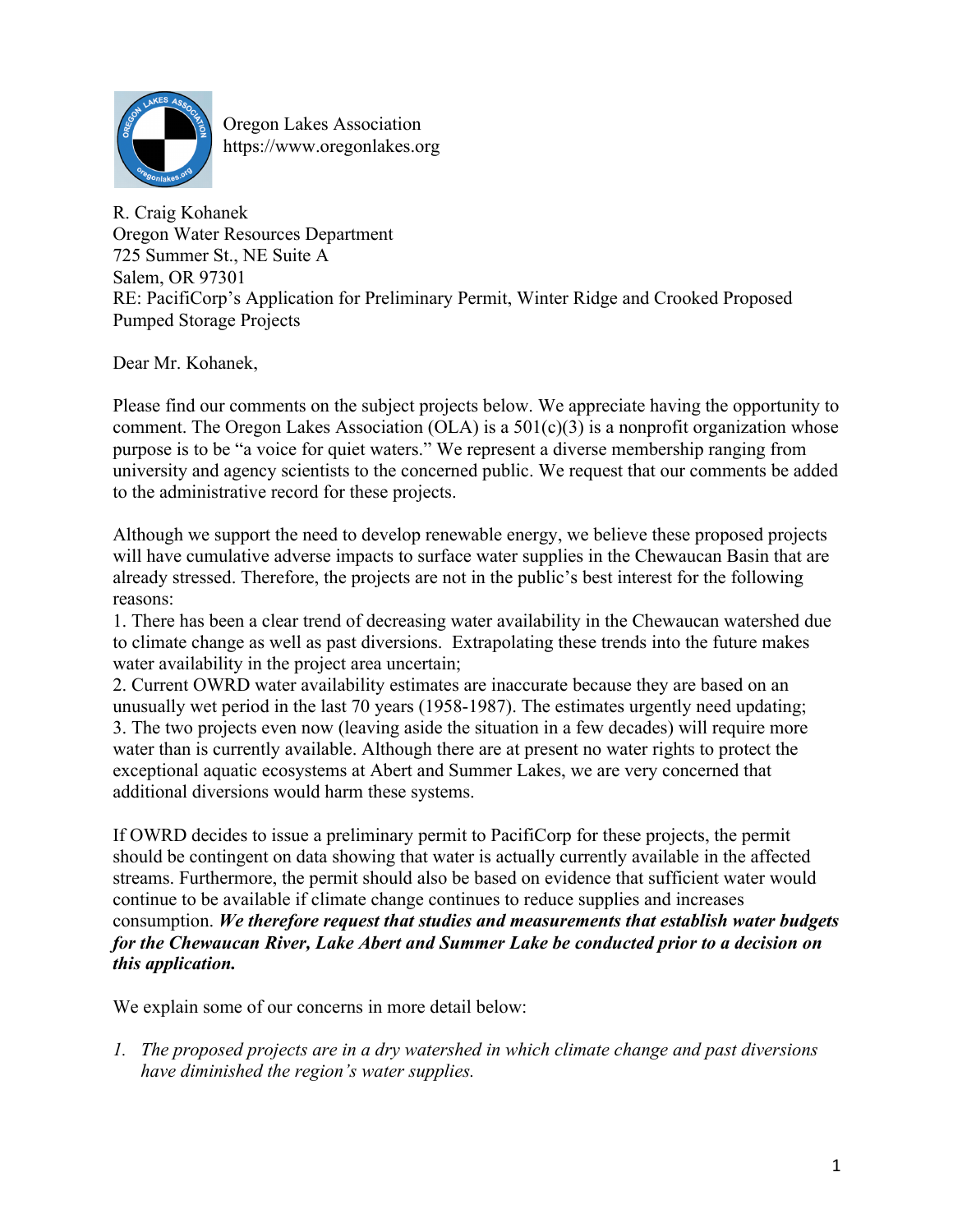

Oregon Lakes Association https://www.oregonlakes.org

R. Craig Kohanek Oregon Water Resources Department 725 Summer St., NE Suite A Salem, OR 97301 RE: PacifiCorp's Application for Preliminary Permit, Winter Ridge and Crooked Proposed Pumped Storage Projects

Dear Mr. Kohanek,

Please find our comments on the subject projects below. We appreciate having the opportunity to comment. The Oregon Lakes Association (OLA) is a  $501(c)(3)$  is a nonprofit organization whose purpose is to be "a voice for quiet waters." We represent a diverse membership ranging from university and agency scientists to the concerned public. We request that our comments be added to the administrative record for these projects.

Although we support the need to develop renewable energy, we believe these proposed projects will have cumulative adverse impacts to surface water supplies in the Chewaucan Basin that are already stressed. Therefore, the projects are not in the public's best interest for the following reasons:

1. There has been a clear trend of decreasing water availability in the Chewaucan watershed due to climate change as well as past diversions. Extrapolating these trends into the future makes water availability in the project area uncertain;

2. Current OWRD water availability estimates are inaccurate because they are based on an unusually wet period in the last 70 years (1958-1987). The estimates urgently need updating; 3. The two projects even now (leaving aside the situation in a few decades) will require more water than is currently available. Although there are at present no water rights to protect the exceptional aquatic ecosystems at Abert and Summer Lakes, we are very concerned that additional diversions would harm these systems.

If OWRD decides to issue a preliminary permit to PacifiCorp for these projects, the permit should be contingent on data showing that water is actually currently available in the affected streams. Furthermore, the permit should also be based on evidence that sufficient water would continue to be available if climate change continues to reduce supplies and increases consumption. *We therefore request that studies and measurements that establish water budgets for the Chewaucan River, Lake Abert and Summer Lake be conducted prior to a decision on this application.* 

We explain some of our concerns in more detail below:

*1. The proposed projects are in a dry watershed in which climate change and past diversions have diminished the region's water supplies.*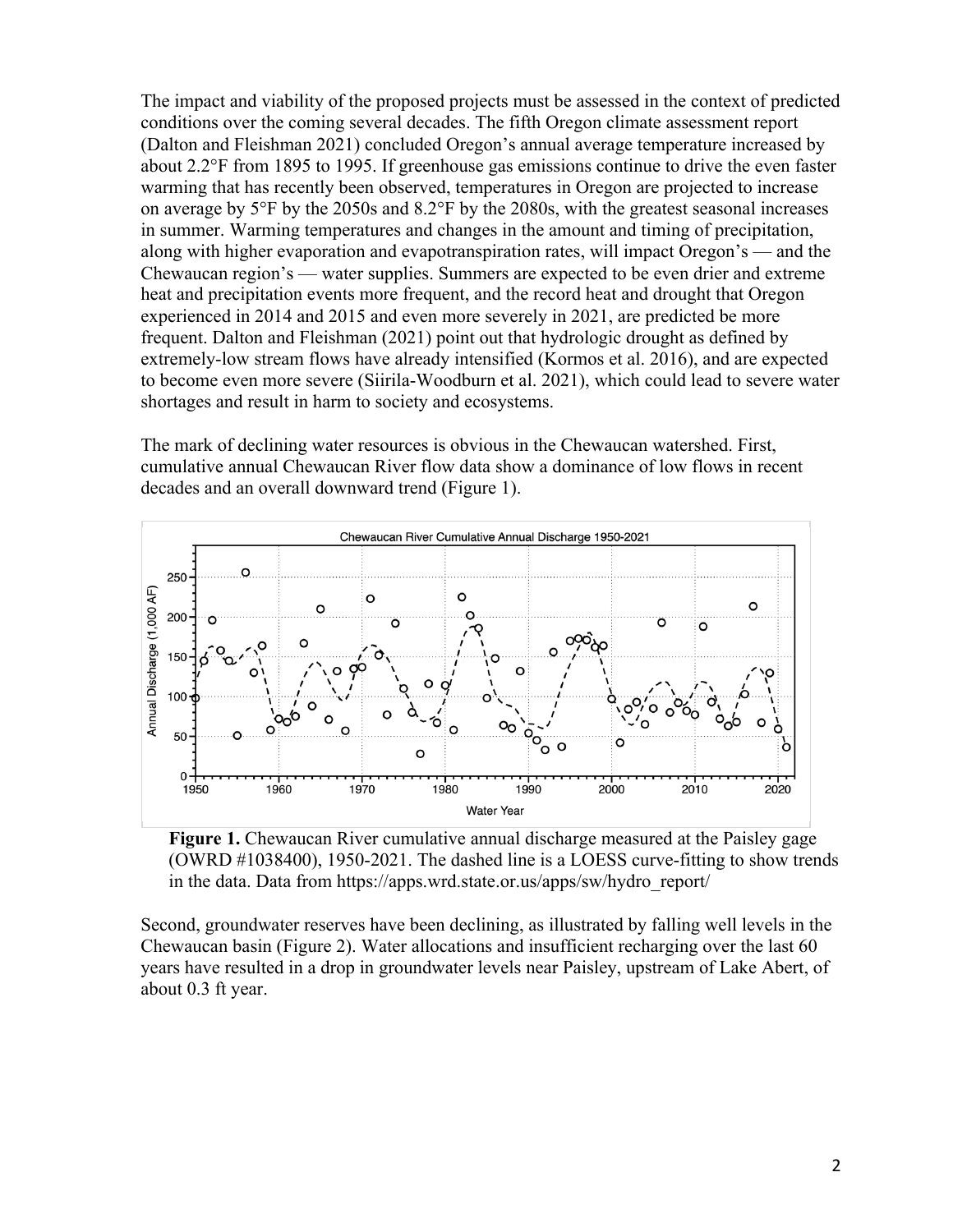The impact and viability of the proposed projects must be assessed in the context of predicted conditions over the coming several decades. The fifth Oregon climate assessment report (Dalton and Fleishman 2021) concluded Oregon's annual average temperature increased by about 2.2°F from 1895 to 1995. If greenhouse gas emissions continue to drive the even faster warming that has recently been observed, temperatures in Oregon are projected to increase on average by 5°F by the 2050s and 8.2°F by the 2080s, with the greatest seasonal increases in summer. Warming temperatures and changes in the amount and timing of precipitation, along with higher evaporation and evapotranspiration rates, will impact Oregon's — and the Chewaucan region's — water supplies. Summers are expected to be even drier and extreme heat and precipitation events more frequent, and the record heat and drought that Oregon experienced in 2014 and 2015 and even more severely in 2021, are predicted be more frequent. Dalton and Fleishman (2021) point out that hydrologic drought as defined by extremely-low stream flows have already intensified (Kormos et al. 2016), and are expected to become even more severe (Siirila-Woodburn et al. 2021), which could lead to severe water shortages and result in harm to society and ecosystems.

The mark of declining water resources is obvious in the Chewaucan watershed. First, cumulative annual Chewaucan River flow data show a dominance of low flows in recent decades and an overall downward trend (Figure 1).



**Figure 1.** Chewaucan River cumulative annual discharge measured at the Paisley gage (OWRD #1038400), 1950-2021. The dashed line is a LOESS curve-fitting to show trends in the data. Data from https://apps.wrd.state.or.us/apps/sw/hydro\_report/

Second, groundwater reserves have been declining, as illustrated by falling well levels in the Chewaucan basin (Figure 2). Water allocations and insufficient recharging over the last 60 years have resulted in a drop in groundwater levels near Paisley, upstream of Lake Abert, of about 0.3 ft year.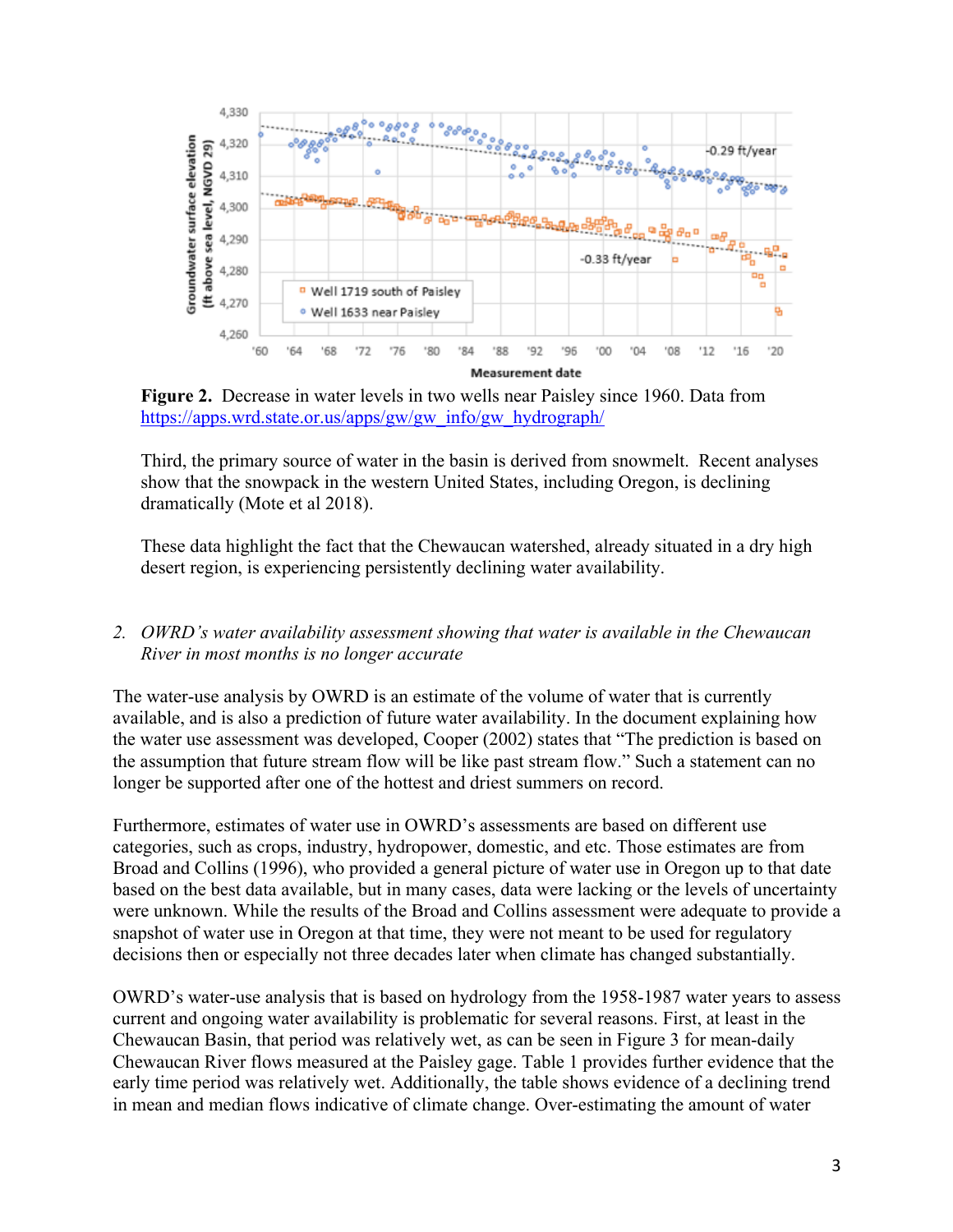

**Figure 2.** Decrease in water levels in two wells near Paisley since 1960. Data from https://apps.wrd.state.or.us/apps/gw/gw\_info/gw\_hydrograph/

Third, the primary source of water in the basin is derived from snowmelt. Recent analyses show that the snowpack in the western United States, including Oregon, is declining dramatically (Mote et al 2018).

These data highlight the fact that the Chewaucan watershed, already situated in a dry high desert region, is experiencing persistently declining water availability.

*2. OWRD's water availability assessment showing that water is available in the Chewaucan River in most months is no longer accurate*

The water-use analysis by OWRD is an estimate of the volume of water that is currently available, and is also a prediction of future water availability. In the document explaining how the water use assessment was developed, Cooper (2002) states that "The prediction is based on the assumption that future stream flow will be like past stream flow." Such a statement can no longer be supported after one of the hottest and driest summers on record.

Furthermore, estimates of water use in OWRD's assessments are based on different use categories, such as crops, industry, hydropower, domestic, and etc. Those estimates are from Broad and Collins (1996), who provided a general picture of water use in Oregon up to that date based on the best data available, but in many cases, data were lacking or the levels of uncertainty were unknown. While the results of the Broad and Collins assessment were adequate to provide a snapshot of water use in Oregon at that time, they were not meant to be used for regulatory decisions then or especially not three decades later when climate has changed substantially.

OWRD's water-use analysis that is based on hydrology from the 1958-1987 water years to assess current and ongoing water availability is problematic for several reasons. First, at least in the Chewaucan Basin, that period was relatively wet, as can be seen in Figure 3 for mean-daily Chewaucan River flows measured at the Paisley gage. Table 1 provides further evidence that the early time period was relatively wet. Additionally, the table shows evidence of a declining trend in mean and median flows indicative of climate change. Over-estimating the amount of water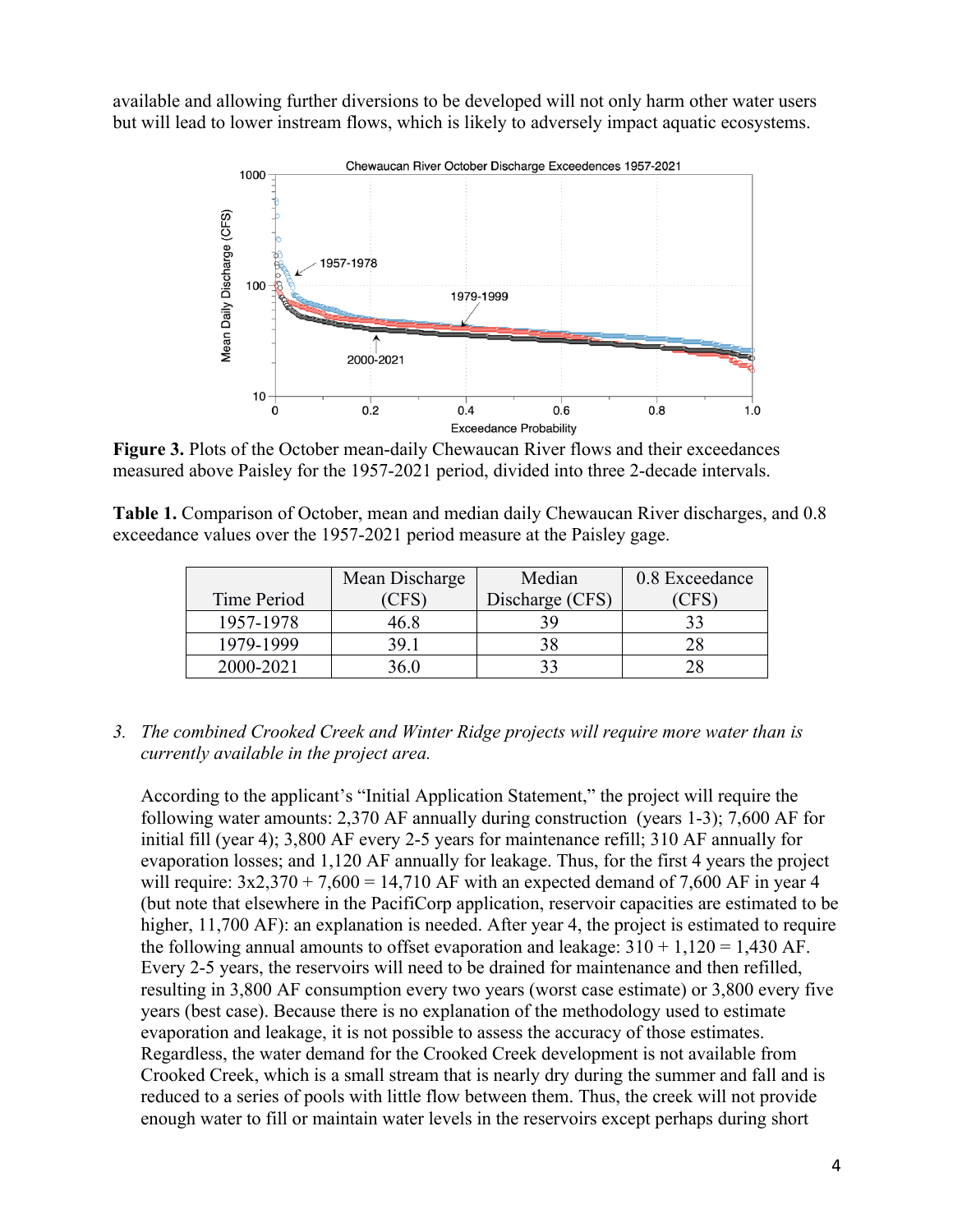available and allowing further diversions to be developed will not only harm other water users but will lead to lower instream flows, which is likely to adversely impact aquatic ecosystems.



**Figure 3.** Plots of the October mean-daily Chewaucan River flows and their exceedances measured above Paisley for the 1957-2021 period, divided into three 2-decade intervals.

**Table 1.** Comparison of October, mean and median daily Chewaucan River discharges, and 0.8 exceedance values over the 1957-2021 period measure at the Paisley gage.

|             | Mean Discharge | Median          | 0.8 Exceedance |
|-------------|----------------|-----------------|----------------|
| Time Period | <b>CFS</b>     | Discharge (CFS) | <b>CFS</b>     |
| 1957-1978   | 46.8           | 39              |                |
| 1979-1999   | 39.1           | 38              |                |
| 2000-2021   | $36.0^{\circ}$ |                 |                |

*3. The combined Crooked Creek and Winter Ridge projects will require more water than is currently available in the project area.* 

According to the applicant's "Initial Application Statement," the project will require the following water amounts: 2,370 AF annually during construction (years 1-3); 7,600 AF for initial fill (year 4); 3,800 AF every 2-5 years for maintenance refill; 310 AF annually for evaporation losses; and 1,120 AF annually for leakage. Thus, for the first 4 years the project will require:  $3x2,370 + 7,600 = 14,710$  AF with an expected demand of 7,600 AF in year 4 (but note that elsewhere in the PacifiCorp application, reservoir capacities are estimated to be higher, 11,700 AF): an explanation is needed. After year 4, the project is estimated to require the following annual amounts to offset evaporation and leakage:  $310 + 1,120 = 1,430$  AF. Every 2-5 years, the reservoirs will need to be drained for maintenance and then refilled, resulting in 3,800 AF consumption every two years (worst case estimate) or 3,800 every five years (best case). Because there is no explanation of the methodology used to estimate evaporation and leakage, it is not possible to assess the accuracy of those estimates. Regardless, the water demand for the Crooked Creek development is not available from Crooked Creek, which is a small stream that is nearly dry during the summer and fall and is reduced to a series of pools with little flow between them. Thus, the creek will not provide enough water to fill or maintain water levels in the reservoirs except perhaps during short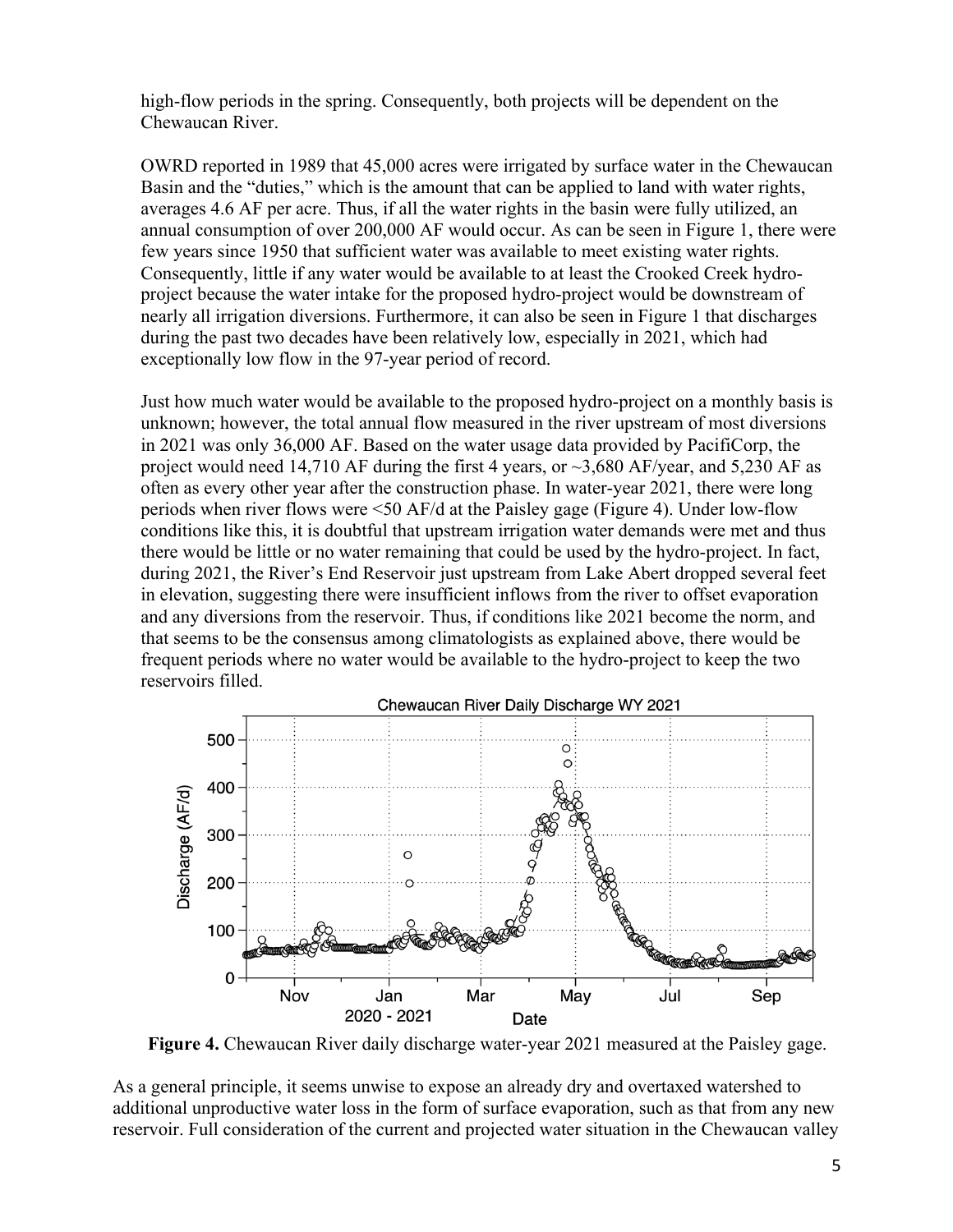high-flow periods in the spring. Consequently, both projects will be dependent on the Chewaucan River.

OWRD reported in 1989 that 45,000 acres were irrigated by surface water in the Chewaucan Basin and the "duties," which is the amount that can be applied to land with water rights, averages 4.6 AF per acre. Thus, if all the water rights in the basin were fully utilized, an annual consumption of over 200,000 AF would occur. As can be seen in Figure 1, there were few years since 1950 that sufficient water was available to meet existing water rights. Consequently, little if any water would be available to at least the Crooked Creek hydroproject because the water intake for the proposed hydro-project would be downstream of nearly all irrigation diversions. Furthermore, it can also be seen in Figure 1 that discharges during the past two decades have been relatively low, especially in 2021, which had exceptionally low flow in the 97-year period of record.

Just how much water would be available to the proposed hydro-project on a monthly basis is unknown; however, the total annual flow measured in the river upstream of most diversions in 2021 was only 36,000 AF. Based on the water usage data provided by PacifiCorp, the project would need 14,710 AF during the first 4 years, or  $\sim$ 3,680 AF/year, and 5,230 AF as often as every other year after the construction phase. In water-year 2021, there were long periods when river flows were <50 AF/d at the Paisley gage (Figure 4). Under low-flow conditions like this, it is doubtful that upstream irrigation water demands were met and thus there would be little or no water remaining that could be used by the hydro-project. In fact, during 2021, the River's End Reservoir just upstream from Lake Abert dropped several feet in elevation, suggesting there were insufficient inflows from the river to offset evaporation and any diversions from the reservoir. Thus, if conditions like 2021 become the norm, and that seems to be the consensus among climatologists as explained above, there would be frequent periods where no water would be available to the hydro-project to keep the two reservoirs filled.



**Figure 4.** Chewaucan River daily discharge water-year 2021 measured at the Paisley gage.

As a general principle, it seems unwise to expose an already dry and overtaxed watershed to additional unproductive water loss in the form of surface evaporation, such as that from any new reservoir. Full consideration of the current and projected water situation in the Chewaucan valley